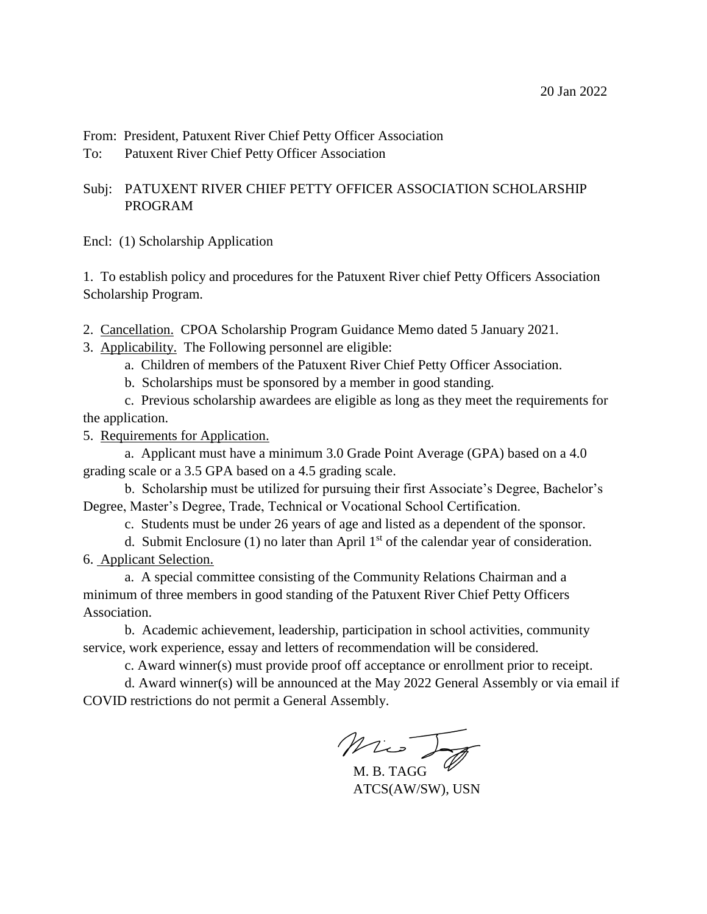From: President, Patuxent River Chief Petty Officer Association

To: Patuxent River Chief Petty Officer Association

# Subj: PATUXENT RIVER CHIEF PETTY OFFICER ASSOCIATION SCHOLARSHIP PROGRAM

Encl: (1) Scholarship Application

1. To establish policy and procedures for the Patuxent River chief Petty Officers Association Scholarship Program.

- 2. Cancellation. CPOA Scholarship Program Guidance Memo dated 5 January 2021.
- 3. Applicability. The Following personnel are eligible:
	- a. Children of members of the Patuxent River Chief Petty Officer Association.
	- b. Scholarships must be sponsored by a member in good standing.

c. Previous scholarship awardees are eligible as long as they meet the requirements for the application.

5. Requirements for Application.

a. Applicant must have a minimum 3.0 Grade Point Average (GPA) based on a 4.0 grading scale or a 3.5 GPA based on a 4.5 grading scale.

b. Scholarship must be utilized for pursuing their first Associate's Degree, Bachelor's Degree, Master's Degree, Trade, Technical or Vocational School Certification.

c. Students must be under 26 years of age and listed as a dependent of the sponsor.

d. Submit Enclosure  $(1)$  no later than April  $1<sup>st</sup>$  of the calendar year of consideration. 6. Applicant Selection.

a. A special committee consisting of the Community Relations Chairman and a minimum of three members in good standing of the Patuxent River Chief Petty Officers Association.

b. Academic achievement, leadership, participation in school activities, community service, work experience, essay and letters of recommendation will be considered.

c. Award winner(s) must provide proof off acceptance or enrollment prior to receipt.

d. Award winner(s) will be announced at the May 2022 General Assembly or via email if COVID restrictions do not permit a General Assembly.

M. B. TAGG

ATCS(AW/SW), USN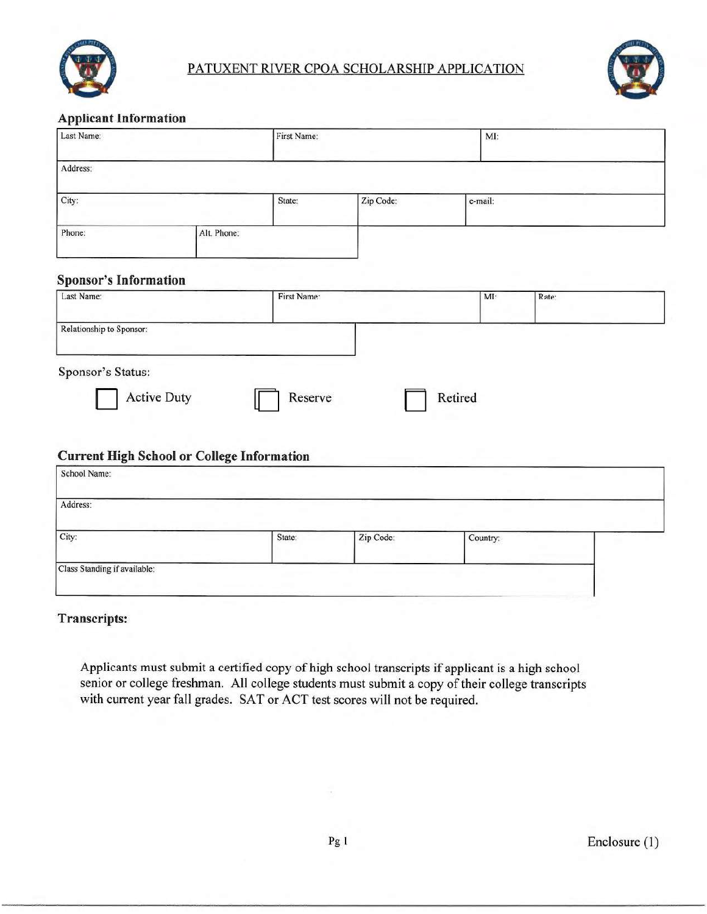



#### **Applicant Information**

|                                               | Last Name:                                                              |             | First Name: |          | MI:   |  |
|-----------------------------------------------|-------------------------------------------------------------------------|-------------|-------------|----------|-------|--|
| Address:                                      |                                                                         |             |             |          |       |  |
| City:                                         |                                                                         | State:      | Zip Code:   | e-mail:  |       |  |
| Phone:                                        | Alt. Phone:                                                             |             |             |          |       |  |
| <b>Sponsor's Information</b>                  |                                                                         |             |             |          |       |  |
| Last Name:                                    |                                                                         | First Name: |             | MI:      | Rate: |  |
| Relationship to Sponsor:                      |                                                                         |             |             |          |       |  |
|                                               |                                                                         |             |             |          |       |  |
|                                               | <b>Active Duty</b><br><b>Current High School or College Information</b> | Reserve     |             | Retired  |       |  |
|                                               |                                                                         |             |             |          |       |  |
| Sponsor's Status:<br>School Name:<br>Address: |                                                                         |             |             |          |       |  |
| City:                                         |                                                                         | State:      | Zip Code:   | Country: |       |  |

# **Transcripts:**

Applicants must submit a certified copy of high school transcripts if applicant is a high school senior or college freshman. All college students must submit a copy of their college transcripts with current year fall grades. SAT or ACT test scores will not be required.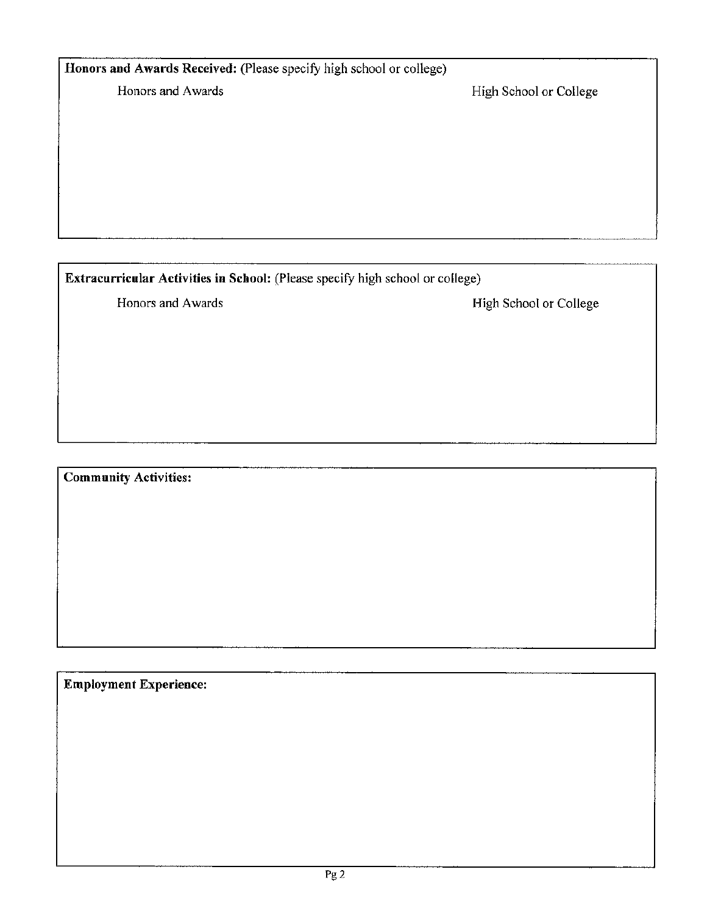# Honors and Awards Received: (Please specify high school or college)

Honors and Awards

High School or College

Extracurricular Activities in School: (Please specify high school or college)

Honors and Awards

High School or College

**Community Activities:** 

**Employment Experience:**